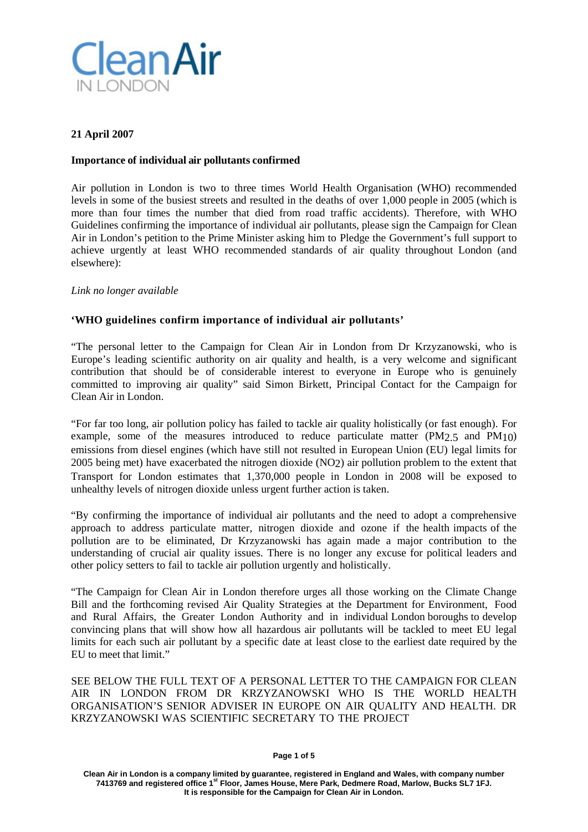

## **21 April 2007**

### **Importance of individual air pollutants confirmed**

Air pollution in London is two to three times World Health Organisation (WHO) recommended levels in some of the busiest streets and resulted in the deaths of over 1,000 people in 2005 (which is more than four times the number that died from road traffic accidents). Therefore, with WHO Guidelines confirming the importance of individual air pollutants, please sign the Campaign for Clean Air in London's petition to the Prime Minister asking him to Pledge the Government's full support to achieve urgently at least WHO recommended standards of air quality throughout London (and elsewhere):

### *Link no longer available*

## **'WHO guidelines confirm importance of individual air pollutants'**

"The personal letter to the Campaign for Clean Air in London from Dr Krzyzanowski, who is Europe's leading scientific authority on air quality and health, is a very welcome and significant contribution that should be of considerable interest to everyone in Europe who is genuinely committed to improving air quality" said Simon Birkett, Principal Contact for the Campaign for Clean Air in London.

"For far too long, air pollution policy has failed to tackle air quality holistically (or fast enough). For example, some of the measures introduced to reduce particulate matter (PM2.5 and PM10) emissions from diesel engines (which have still not resulted in European Union (EU) legal limits for 2005 being met) have exacerbated the nitrogen dioxide (NO2) air pollution problem to the extent that Transport for London estimates that 1,370,000 people in London in 2008 will be exposed to unhealthy levels of nitrogen dioxide unless urgent further action is taken.

"By confirming the importance of individual air pollutants and the need to adopt a comprehensive approach to address particulate matter, nitrogen dioxide and ozone if the health impacts of the pollution are to be eliminated, Dr Krzyzanowski has again made a major contribution to the understanding of crucial air quality issues. There is no longer any excuse for political leaders and other policy setters to fail to tackle air pollution urgently and holistically.

"The Campaign for Clean Air in London therefore urges all those working on the Climate Change Bill and the forthcoming revised Air Quality Strategies at the Department for Environment, Food and Rural Affairs, the Greater London Authority and in individual London boroughs to develop convincing plans that will show how all hazardous air pollutants will be tackled to meet EU legal limits for each such air pollutant by a specific date at least close to the earliest date required by the EU to meet that limit."

SEE BELOW THE FULL TEXT OF A PERSONAL LETTER TO THE CAMPAIGN FOR CLEAN AIR IN LONDON FROM DR KRZYZANOWSKI WHO IS THE WORLD HEALTH ORGANISATION'S SENIOR ADVISER IN EUROPE ON AIR QUALITY AND HEALTH. DR KRZYZANOWSKI WAS SCIENTIFIC SECRETARY TO THE PROJECT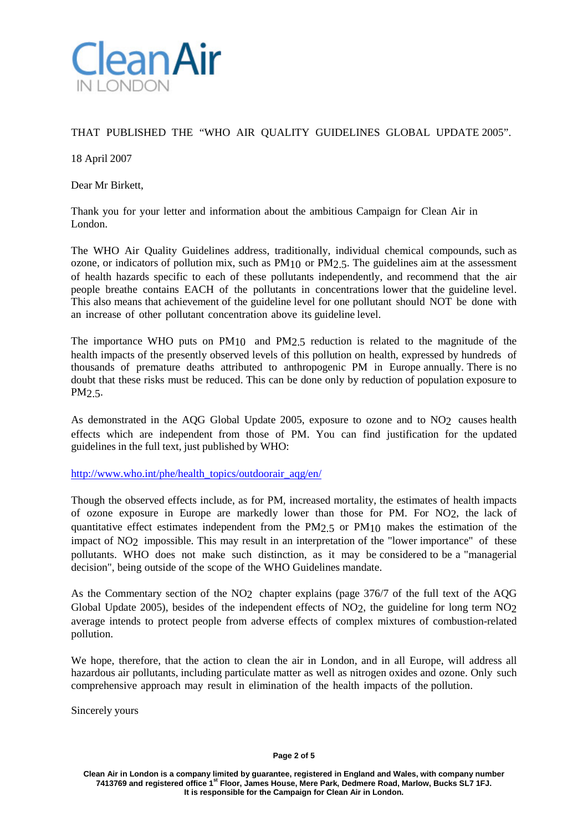

# THAT PUBLISHED THE "WHO AIR QUALITY GUIDELINES GLOBAL UPDATE 2005".

18 April 2007

Dear Mr Birkett,

Thank you for your letter and information about the ambitious Campaign for Clean Air in London.

The WHO Air Quality Guidelines address, traditionally, individual chemical compounds, such as ozone, or indicators of pollution mix, such as PM10 or PM2.5. The guidelines aim at the assessment of health hazards specific to each of these pollutants independently, and recommend that the air people breathe contains EACH of the pollutants in concentrations lower that the guideline level. This also means that achievement of the guideline level for one pollutant should NOT be done with an increase of other pollutant concentration above its guideline level.

The importance WHO puts on PM10 and PM2.5 reduction is related to the magnitude of the health impacts of the presently observed levels of this pollution on health, expressed by hundreds of thousands of premature deaths attributed to anthropogenic PM in Europe annually. There is no doubt that these risks must be reduced. This can be done only by reduction of population exposure to PM2.5.

As demonstrated in the AQG Global Update 2005, exposure to ozone and to NO<sub>2</sub> causes health effects which are independent from those of PM. You can find justification for the updated guidelines in the full text, just published by WHO:

[http://www.who.int/phe/health\\_topics/outdoorair\\_aqg/en/](http://www.who.int/phe/health_topics/outdoorair_aqg/en/)

Though the observed effects include, as for PM, increased mortality, the estimates of health impacts of ozone exposure in Europe are markedly lower than those for PM. For NO2, the lack of quantitative effect estimates independent from the PM2.5 or PM10 makes the estimation of the impact of NO2 impossible. This may result in an interpretation of the "lower importance" of these pollutants. WHO does not make such distinction, as it may be considered to be a "managerial decision", being outside of the scope of the WHO Guidelines mandate.

As the Commentary section of the NO2 chapter explains (page 376/7 of the full text of the AQG Global Update 2005), besides of the independent effects of NO<sub>2</sub>, the guideline for long term NO<sub>2</sub> average intends to protect people from adverse effects of complex mixtures of combustion-related pollution.

We hope, therefore, that the action to clean the air in London, and in all Europe, will address all hazardous air pollutants, including particulate matter as well as nitrogen oxides and ozone. Only such comprehensive approach may result in elimination of the health impacts of the pollution.

Sincerely yours

**Clean Air in London is a company limited by guarantee, registered in England and Wales, with company number 7413769 and registered office 1st Floor, James House, Mere Park, Dedmere Road, Marlow, Bucks SL7 1FJ. It is responsible for the Campaign for Clean Air in London.**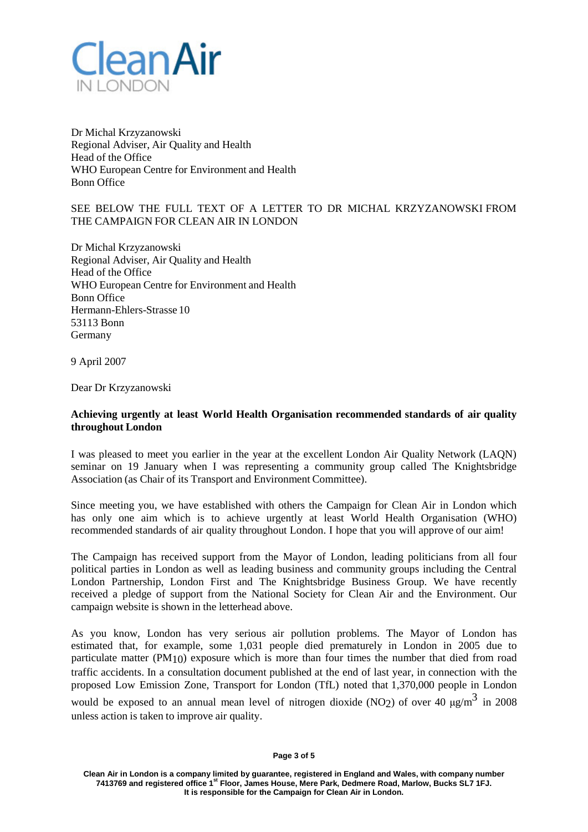

Dr Michal Krzyzanowski Regional Adviser, Air Quality and Health Head of the Office WHO European Centre for Environment and Health Bonn Office

## SEE BELOW THE FULL TEXT OF A LETTER TO DR MICHAL KRZYZANOWSKI FROM THE CAMPAIGN FOR CLEAN AIR IN LONDON

Dr Michal Krzyzanowski Regional Adviser, Air Quality and Health Head of the Office WHO European Centre for Environment and Health Bonn Office Hermann-Ehlers-Strasse 10 53113 Bonn Germany

9 April 2007

Dear Dr Krzyzanowski

### **Achieving urgently at least World Health Organisation recommended standards of air quality throughout London**

I was pleased to meet you earlier in the year at the excellent London Air Quality Network (LAQN) seminar on 19 January when I was representing a community group called The Knightsbridge Association (as Chair of its Transport and Environment Committee).

Since meeting you, we have established with others the Campaign for Clean Air in London which has only one aim which is to achieve urgently at least World Health Organisation (WHO) recommended standards of air quality throughout London. I hope that you will approve of our aim!

The Campaign has received support from the Mayor of London, leading politicians from all four political parties in London as well as leading business and community groups including the Central London Partnership, London First and The Knightsbridge Business Group. We have recently received a pledge of support from the National Society for Clean Air and the Environment. Our campaign website is shown in the letterhead above.

As you know, London has very serious air pollution problems. The Mayor of London has estimated that, for example, some 1,031 people died prematurely in London in 2005 due to particulate matter (PM10) exposure which is more than four times the number that died from road traffic accidents. In a consultation document published at the end of last year, in connection with the proposed Low Emission Zone, Transport for London (TfL) noted that 1,370,000 people in London would be exposed to an annual mean level of nitrogen dioxide (NO2) of over 40  $\mu$ g/m<sup>3</sup> in 2008 unless action is taken to improve air quality.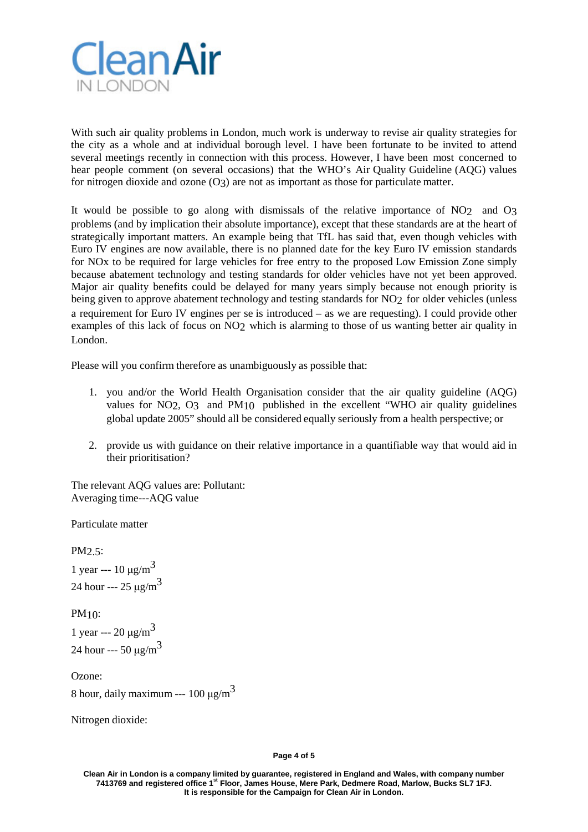

With such air quality problems in London, much work is underway to revise air quality strategies for the city as a whole and at individual borough level. I have been fortunate to be invited to attend several meetings recently in connection with this process. However, I have been most concerned to hear people comment (on several occasions) that the WHO's Air Quality Guideline (AQG) values for nitrogen dioxide and ozone (O3) are not as important as those for particulate matter.

It would be possible to go along with dismissals of the relative importance of NO2 and O3 problems (and by implication their absolute importance), except that these standards are at the heart of strategically important matters. An example being that TfL has said that, even though vehicles with Euro IV engines are now available, there is no planned date for the key Euro IV emission standards for NOx to be required for large vehicles for free entry to the proposed Low Emission Zone simply because abatement technology and testing standards for older vehicles have not yet been approved. Major air quality benefits could be delayed for many years simply because not enough priority is being given to approve abatement technology and testing standards for NO2 for older vehicles (unless a requirement for Euro IV engines per se is introduced – as we are requesting). I could provide other examples of this lack of focus on NO2 which is alarming to those of us wanting better air quality in London.

Please will you confirm therefore as unambiguously as possible that:

- 1. you and/or the World Health Organisation consider that the air quality guideline (AQG) values for NO2, O3 and PM10 published in the excellent "WHO air quality guidelines global update 2005" should all be considered equally seriously from a health perspective; or
- 2. provide us with guidance on their relative importance in a quantifiable way that would aid in their prioritisation?

The relevant AQG values are: Pollutant: Averaging time---AQG value

Particulate matter

PM2.5:

1 year ---  $10 \mu g/m^3$ 24 hour --- 25  $\mu$ g/m<sup>3</sup>

PM10: 1 year --- 20 μg/m<sup>3</sup> 24 hour ---  $50 \mu g/m^3$ 

Ozone: 8 hour, daily maximum --- 100  $\mu$ g/m<sup>3</sup>

Nitrogen dioxide:

**Page 4 of 5**